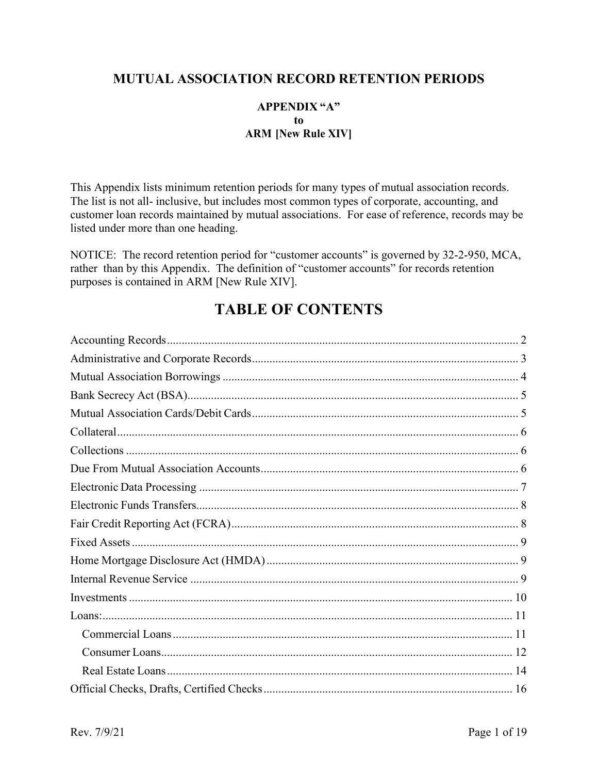#### **MUTUAL ASSOCIATION RECORD RETENTION PERIODS**

#### **APPENDIX "A"** to **ARM [New Rule XIV]**

This Appendix lists minimum retention periods for many types of mutual association records. The list is not all- inclusive, but includes most common types of corporate, accounting, and customer loan records maintained by mutual associations. For ease of reference, records may be listed under more than one heading.

NOTICE: The record retention period for "customer accounts" is governed by 32-2-950, MCA, rather than by this Appendix. The definition of "customer accounts" for records retention purposes is contained in ARM [New Rule XIV].

# **TABLE OF CONTENTS**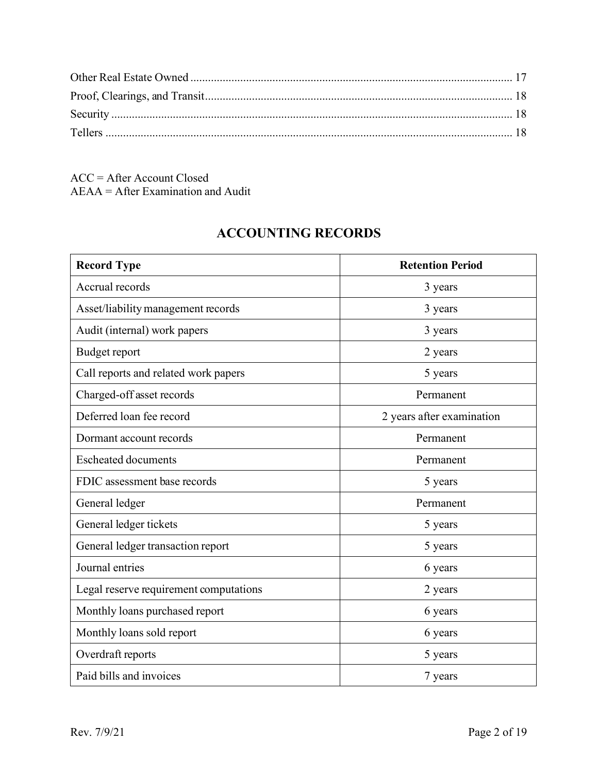ACC = After Account Closed AEAA = After Examination and Audit

# **ACCOUNTING RECORDS**

<span id="page-1-0"></span>

| <b>Record Type</b>                     | <b>Retention Period</b>   |
|----------------------------------------|---------------------------|
| Accrual records                        | 3 years                   |
| Asset/liability management records     | 3 years                   |
| Audit (internal) work papers           | 3 years                   |
| Budget report                          | 2 years                   |
| Call reports and related work papers   | 5 years                   |
| Charged-off asset records              | Permanent                 |
| Deferred loan fee record               | 2 years after examination |
| Dormant account records                | Permanent                 |
| <b>Escheated documents</b>             | Permanent                 |
| FDIC assessment base records           | 5 years                   |
| General ledger                         | Permanent                 |
| General ledger tickets                 | 5 years                   |
| General ledger transaction report      | 5 years                   |
| Journal entries                        | 6 years                   |
| Legal reserve requirement computations | 2 years                   |
| Monthly loans purchased report         | 6 years                   |
| Monthly loans sold report              | 6 years                   |
| Overdraft reports                      | 5 years                   |
| Paid bills and invoices                | 7 years                   |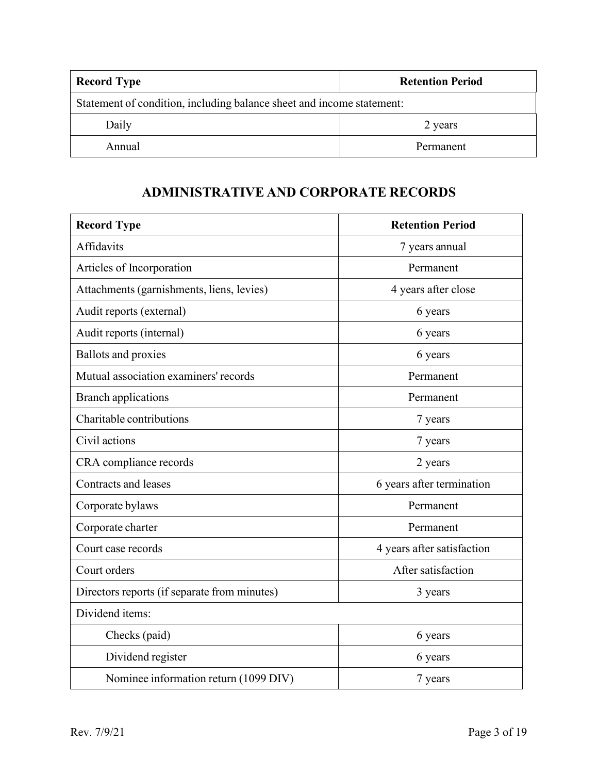| <b>Record Type</b>                                                    | <b>Retention Period</b> |  |
|-----------------------------------------------------------------------|-------------------------|--|
| Statement of condition, including balance sheet and income statement: |                         |  |
| Daily                                                                 | 2 years                 |  |
| Annual                                                                | Permanent               |  |

## **ADMINISTRATIVE AND CORPORATE RECORDS**

<span id="page-2-0"></span>

| <b>Record Type</b>                           | <b>Retention Period</b>    |
|----------------------------------------------|----------------------------|
| Affidavits                                   | 7 years annual             |
| Articles of Incorporation                    | Permanent                  |
| Attachments (garnishments, liens, levies)    | 4 years after close        |
| Audit reports (external)                     | 6 years                    |
| Audit reports (internal)                     | 6 years                    |
| <b>Ballots and proxies</b>                   | 6 years                    |
| Mutual association examiners' records        | Permanent                  |
| <b>Branch applications</b>                   | Permanent                  |
| Charitable contributions                     | 7 years                    |
| Civil actions                                | 7 years                    |
| CRA compliance records                       | 2 years                    |
| <b>Contracts and leases</b>                  | 6 years after termination  |
| Corporate bylaws                             | Permanent                  |
| Corporate charter                            | Permanent                  |
| Court case records                           | 4 years after satisfaction |
| Court orders                                 | After satisfaction         |
| Directors reports (if separate from minutes) | 3 years                    |
| Dividend items:                              |                            |
| Checks (paid)                                | 6 years                    |
| Dividend register                            | 6 years                    |
| Nominee information return (1099 DIV)        | 7 years                    |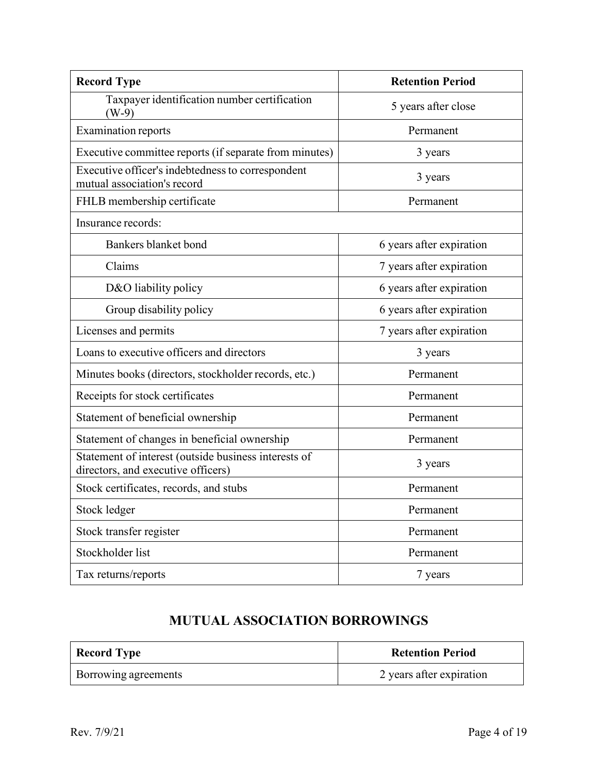| <b>Record Type</b>                                                                         | <b>Retention Period</b>  |
|--------------------------------------------------------------------------------------------|--------------------------|
| Taxpayer identification number certification<br>$(W-9)$                                    | 5 years after close      |
| <b>Examination reports</b>                                                                 | Permanent                |
| Executive committee reports (if separate from minutes)                                     | 3 years                  |
| Executive officer's indebtedness to correspondent<br>mutual association's record           | 3 years                  |
| FHLB membership certificate                                                                | Permanent                |
| Insurance records:                                                                         |                          |
| Bankers blanket bond                                                                       | 6 years after expiration |
| Claims                                                                                     | 7 years after expiration |
| D&O liability policy                                                                       | 6 years after expiration |
| Group disability policy                                                                    | 6 years after expiration |
| Licenses and permits                                                                       | 7 years after expiration |
| Loans to executive officers and directors                                                  | 3 years                  |
| Minutes books (directors, stockholder records, etc.)                                       | Permanent                |
| Receipts for stock certificates                                                            | Permanent                |
| Statement of beneficial ownership                                                          | Permanent                |
| Statement of changes in beneficial ownership                                               | Permanent                |
| Statement of interest (outside business interests of<br>directors, and executive officers) | 3 years                  |
| Stock certificates, records, and stubs                                                     | Permanent                |
| Stock ledger                                                                               | Permanent                |
| Stock transfer register                                                                    | Permanent                |
| Stockholder list                                                                           | Permanent                |
| Tax returns/reports                                                                        | 7 years                  |

# **MUTUAL ASSOCIATION BORROWINGS**

<span id="page-3-0"></span>

| <b>Record Type</b>   | <b>Retention Period</b>  |
|----------------------|--------------------------|
| Borrowing agreements | 2 years after expiration |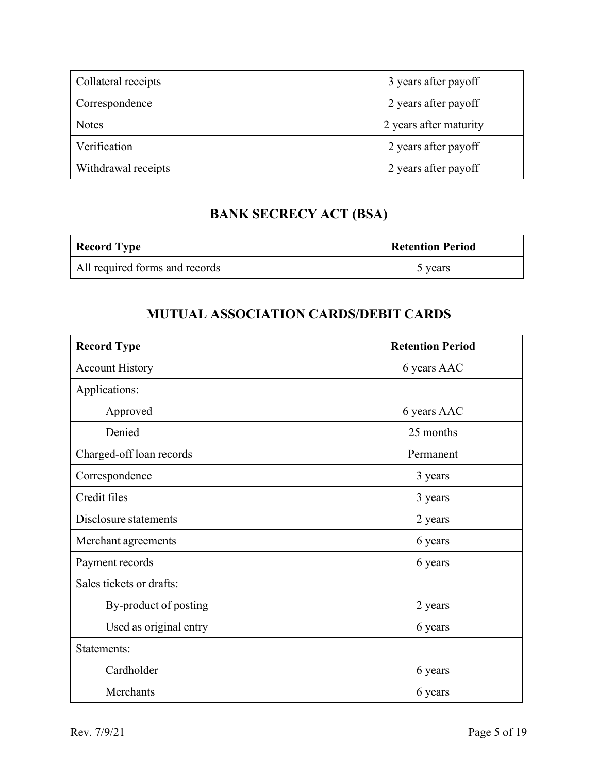| Collateral receipts | 3 years after payoff   |
|---------------------|------------------------|
| Correspondence      | 2 years after payoff   |
| <b>Notes</b>        | 2 years after maturity |
| Verification        | 2 years after payoff   |
| Withdrawal receipts | 2 years after payoff   |

# **BANK SECRECY ACT (BSA)**

<span id="page-4-0"></span>

| <b>Record Type</b>             | <b>Retention Period</b> |
|--------------------------------|-------------------------|
| All required forms and records | 5 years                 |

### **MUTUAL ASSOCIATION CARDS/DEBIT CARDS**

<span id="page-4-1"></span>

| <b>Record Type</b>       | <b>Retention Period</b> |
|--------------------------|-------------------------|
| <b>Account History</b>   | 6 years AAC             |
| Applications:            |                         |
| Approved                 | 6 years AAC             |
| Denied                   | 25 months               |
| Charged-off loan records | Permanent               |
| Correspondence           | 3 years                 |
| Credit files             | 3 years                 |
| Disclosure statements    | 2 years                 |
| Merchant agreements      | 6 years                 |
| Payment records          | 6 years                 |
| Sales tickets or drafts: |                         |
| By-product of posting    | 2 years                 |
| Used as original entry   | 6 years                 |
| Statements:              |                         |
| Cardholder               | 6 years                 |
| Merchants                | 6 years                 |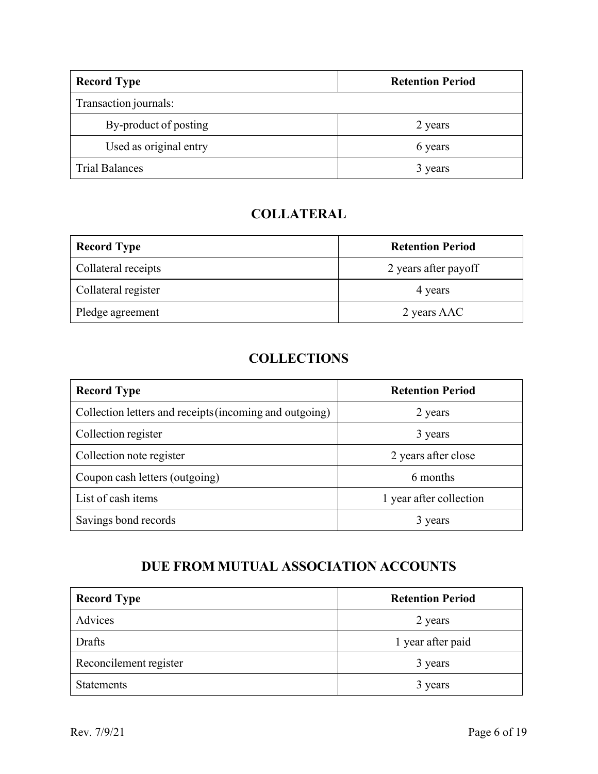| <b>Record Type</b>     | <b>Retention Period</b> |
|------------------------|-------------------------|
| Transaction journals:  |                         |
| By-product of posting  | 2 years                 |
| Used as original entry | 6 years                 |
| <b>Trial Balances</b>  | 3 years                 |

# **COLLATERAL**

<span id="page-5-0"></span>

| <b>Record Type</b>  | <b>Retention Period</b> |
|---------------------|-------------------------|
| Collateral receipts | 2 years after payoff    |
| Collateral register | 4 years                 |
| Pledge agreement    | 2 years AAC             |

### **COLLECTIONS**

<span id="page-5-1"></span>

| <b>Record Type</b>                                      | <b>Retention Period</b> |
|---------------------------------------------------------|-------------------------|
| Collection letters and receipts (incoming and outgoing) | 2 years                 |
| Collection register                                     | 3 years                 |
| Collection note register                                | 2 years after close     |
| Coupon cash letters (outgoing)                          | 6 months                |
| List of cash items                                      | 1 year after collection |
| Savings bond records                                    | 3 years                 |

## **DUE FROM MUTUAL ASSOCIATION ACCOUNTS**

<span id="page-5-2"></span>

| <b>Record Type</b>     | <b>Retention Period</b> |
|------------------------|-------------------------|
| Advices                | 2 years                 |
| Drafts                 | 1 year after paid       |
| Reconcilement register | 3 years                 |
| <b>Statements</b>      | 3 years                 |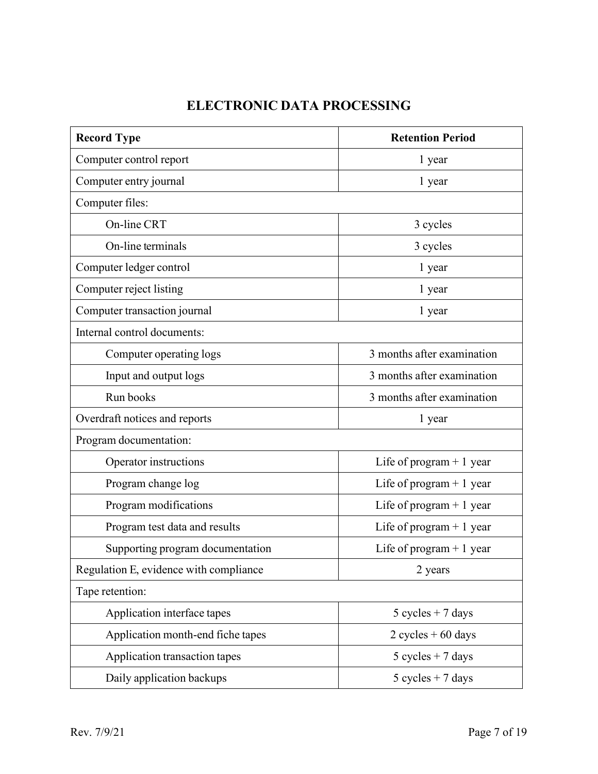# **ELECTRONIC DATA PROCESSING**

<span id="page-6-0"></span>

| <b>Record Type</b>                     | <b>Retention Period</b>    |
|----------------------------------------|----------------------------|
| Computer control report                | 1 year                     |
| Computer entry journal                 | 1 year                     |
| Computer files:                        |                            |
| On-line CRT                            | 3 cycles                   |
| On-line terminals                      | 3 cycles                   |
| Computer ledger control                | 1 year                     |
| Computer reject listing                | 1 year                     |
| Computer transaction journal           | 1 year                     |
| Internal control documents:            |                            |
| Computer operating logs                | 3 months after examination |
| Input and output logs                  | 3 months after examination |
| Run books                              | 3 months after examination |
| Overdraft notices and reports          | 1 year                     |
| Program documentation:                 |                            |
| Operator instructions                  | Life of program $+1$ year  |
| Program change log                     | Life of program $+1$ year  |
| Program modifications                  | Life of program $+1$ year  |
| Program test data and results          | Life of program $+1$ year  |
| Supporting program documentation       | Life of program $+1$ year  |
| Regulation E, evidence with compliance | 2 years                    |
| Tape retention:                        |                            |
| Application interface tapes            | $5$ cycles + 7 days        |
| Application month-end fiche tapes      | $2$ cycles $+60$ days      |
| Application transaction tapes          | $5 cycles + 7 days$        |
| Daily application backups              | $5 cycles + 7 days$        |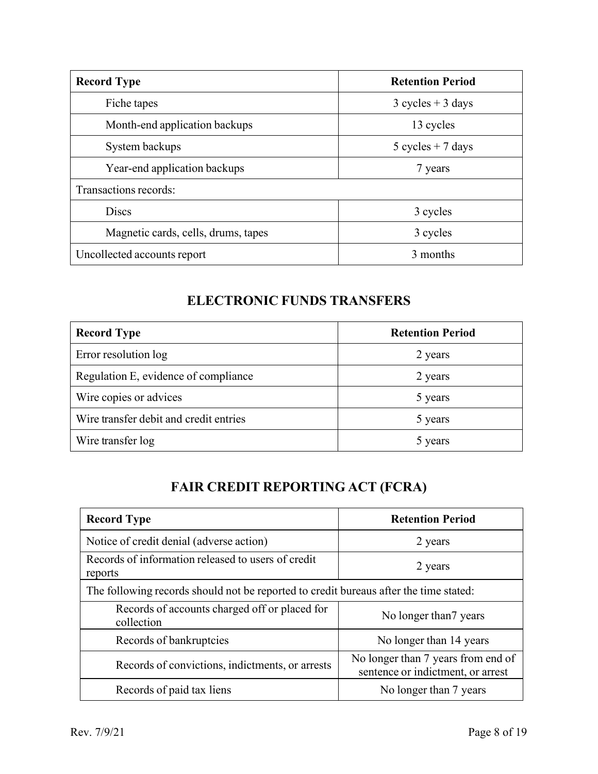| <b>Record Type</b>                  | <b>Retention Period</b> |
|-------------------------------------|-------------------------|
| Fiche tapes                         | $3 cycles + 3 days$     |
| Month-end application backups       | 13 cycles               |
| System backups                      | $5 cycles + 7 days$     |
| Year-end application backups        | 7 years                 |
| Transactions records:               |                         |
| <b>Discs</b>                        | 3 cycles                |
| Magnetic cards, cells, drums, tapes | 3 cycles                |
| Uncollected accounts report         | 3 months                |

## **ELECTRONIC FUNDS TRANSFERS**

<span id="page-7-0"></span>

| <b>Record Type</b>                     | <b>Retention Period</b> |
|----------------------------------------|-------------------------|
| Error resolution log                   | 2 years                 |
| Regulation E, evidence of compliance   | 2 years                 |
| Wire copies or advices                 | 5 years                 |
| Wire transfer debit and credit entries | 5 years                 |
| Wire transfer log                      | 5 years                 |

# **FAIR CREDIT REPORTING ACT (FCRA)**

<span id="page-7-1"></span>

| <b>Record Type</b>                                                                    | <b>Retention Period</b>                                                 |  |
|---------------------------------------------------------------------------------------|-------------------------------------------------------------------------|--|
| Notice of credit denial (adverse action)                                              | 2 years                                                                 |  |
| Records of information released to users of credit<br>reports                         | 2 years                                                                 |  |
| The following records should not be reported to credit bureaus after the time stated: |                                                                         |  |
| Records of accounts charged off or placed for<br>collection                           | No longer than? years                                                   |  |
| Records of bankruptcies                                                               | No longer than 14 years                                                 |  |
| Records of convictions, indictments, or arrests                                       | No longer than 7 years from end of<br>sentence or indictment, or arrest |  |
| Records of paid tax liens                                                             | No longer than 7 years                                                  |  |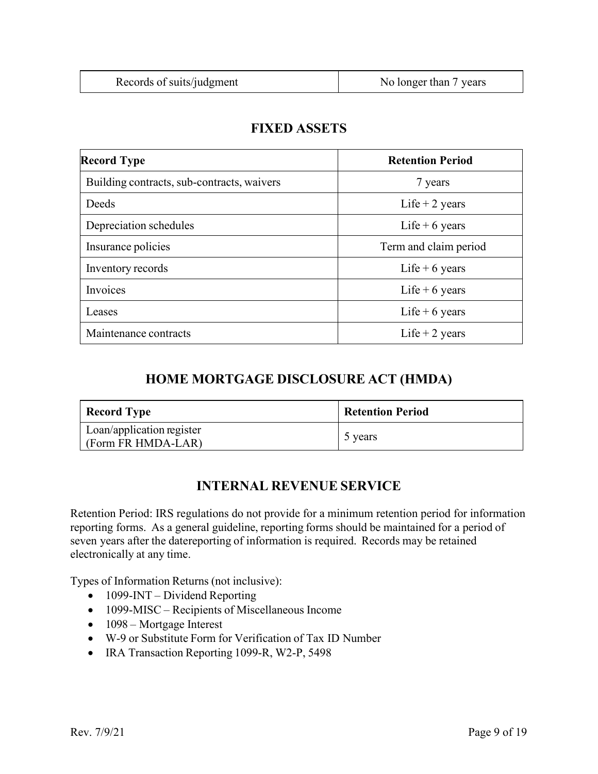<span id="page-8-0"></span>

| <b>Record Type</b>                         | <b>Retention Period</b> |
|--------------------------------------------|-------------------------|
| Building contracts, sub-contracts, waivers | 7 years                 |
| Deeds                                      | Life $+2$ years         |
| Depreciation schedules                     | Life + 6 years          |
| Insurance policies                         | Term and claim period   |
| Inventory records                          | Life + 6 years          |
| <b>Invoices</b>                            | Life $+6$ years         |
| Leases                                     | Life + 6 years          |
| Maintenance contracts                      | Life $+2$ years         |

#### **FIXED ASSETS**

#### **HOME MORTGAGE DISCLOSURE ACT (HMDA)**

<span id="page-8-1"></span>

| <b>Record Type</b>                              | <b>Retention Period</b> |
|-------------------------------------------------|-------------------------|
| Loan/application register<br>(Form FR HMDA-LAR) | 5 years                 |

### **INTERNAL REVENUE SERVICE**

<span id="page-8-2"></span>Retention Period: IRS regulations do not provide for a minimum retention period for information reporting forms. As a general guideline, reporting forms should be maintained for a period of seven years after the datereporting of information is required. Records may be retained electronically at any time.

Types of Information Returns (not inclusive):

- 1099-INT Dividend Reporting
- 1099-MISC Recipients of Miscellaneous Income
- 1098 Mortgage Interest
- W-9 or Substitute Form for Verification of Tax ID Number
- <span id="page-8-3"></span>• IRA Transaction Reporting 1099-R, W2-P, 5498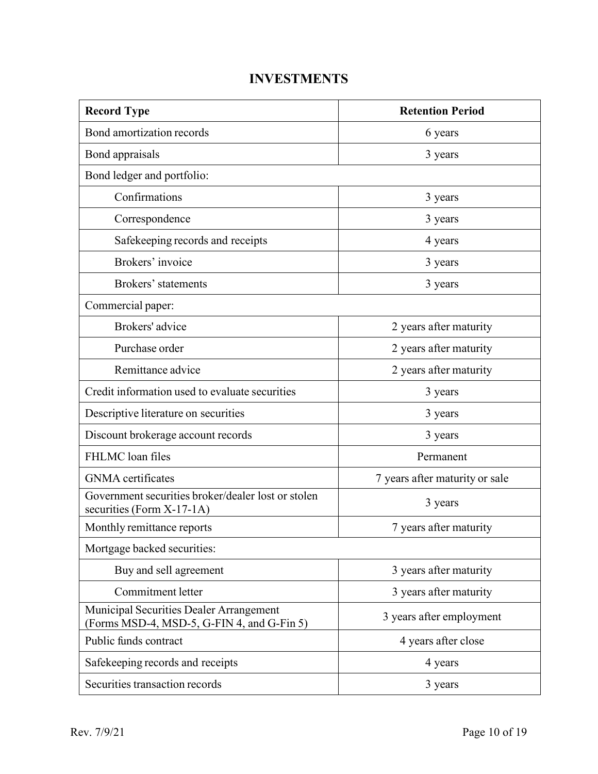## **INVESTMENTS**

| <b>Record Type</b>                                                                    | <b>Retention Period</b>        |  |
|---------------------------------------------------------------------------------------|--------------------------------|--|
| Bond amortization records                                                             | 6 years                        |  |
| Bond appraisals                                                                       | 3 years                        |  |
| Bond ledger and portfolio:                                                            |                                |  |
| Confirmations                                                                         | 3 years                        |  |
| Correspondence                                                                        | 3 years                        |  |
| Safekeeping records and receipts                                                      | 4 years                        |  |
| Brokers' invoice                                                                      | 3 years                        |  |
| Brokers' statements                                                                   | 3 years                        |  |
| Commercial paper:                                                                     |                                |  |
| Brokers' advice                                                                       | 2 years after maturity         |  |
| Purchase order                                                                        | 2 years after maturity         |  |
| Remittance advice                                                                     | 2 years after maturity         |  |
| Credit information used to evaluate securities                                        | 3 years                        |  |
| Descriptive literature on securities                                                  | 3 years                        |  |
| Discount brokerage account records                                                    | 3 years                        |  |
| FHLMC loan files                                                                      | Permanent                      |  |
| <b>GNMA</b> certificates                                                              | 7 years after maturity or sale |  |
| Government securities broker/dealer lost or stolen<br>securities (Form X-17-1A)       | 3 years                        |  |
| Monthly remittance reports                                                            | 7 years after maturity         |  |
| Mortgage backed securities:                                                           |                                |  |
| Buy and sell agreement                                                                | 3 years after maturity         |  |
| Commitment letter                                                                     | 3 years after maturity         |  |
| Municipal Securities Dealer Arrangement<br>(Forms MSD-4, MSD-5, G-FIN 4, and G-Fin 5) | 3 years after employment       |  |
| Public funds contract                                                                 | 4 years after close            |  |
| Safekeeping records and receipts                                                      | 4 years                        |  |
| Securities transaction records                                                        | 3 years                        |  |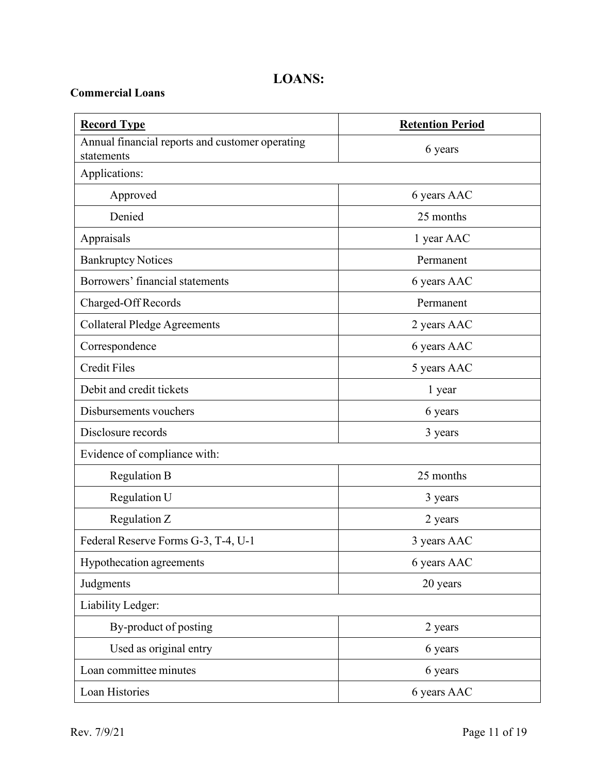### **LOANS:**

#### <span id="page-10-1"></span><span id="page-10-0"></span>**Commercial Loans**

| <b>Record Type</b>                                            | <b>Retention Period</b> |
|---------------------------------------------------------------|-------------------------|
| Annual financial reports and customer operating<br>statements | 6 years                 |
| Applications:                                                 |                         |
| Approved                                                      | 6 years AAC             |
| Denied                                                        | 25 months               |
| Appraisals                                                    | 1 year AAC              |
| <b>Bankruptcy Notices</b>                                     | Permanent               |
| Borrowers' financial statements                               | 6 years AAC             |
| Charged-Off Records                                           | Permanent               |
| <b>Collateral Pledge Agreements</b>                           | 2 years AAC             |
| Correspondence                                                | 6 years AAC             |
| <b>Credit Files</b>                                           | 5 years AAC             |
| Debit and credit tickets                                      | 1 year                  |
| Disbursements vouchers                                        | 6 years                 |
| Disclosure records                                            | 3 years                 |
| Evidence of compliance with:                                  |                         |
| <b>Regulation B</b>                                           | 25 months               |
| Regulation U                                                  | 3 years                 |
| Regulation Z                                                  | 2 years                 |
| Federal Reserve Forms G-3, T-4, U-1                           | 3 years AAC             |
| Hypothecation agreements                                      | 6 years AAC             |
| Judgments                                                     | 20 years                |
| Liability Ledger:                                             |                         |
| By-product of posting                                         | 2 years                 |
| Used as original entry                                        | 6 years                 |
| Loan committee minutes                                        | 6 years                 |
| Loan Histories                                                | 6 years AAC             |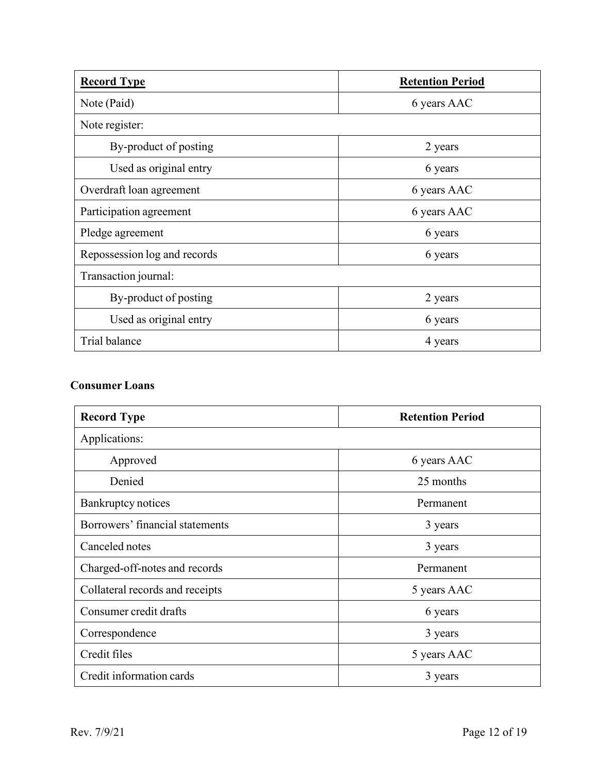| <b>Record Type</b>           | <b>Retention Period</b> |
|------------------------------|-------------------------|
| Note (Paid)                  | 6 years AAC             |
| Note register:               |                         |
| By-product of posting        | 2 years                 |
| Used as original entry       | 6 years                 |
| Overdraft loan agreement     | 6 years AAC             |
| Participation agreement      | 6 years AAC             |
| Pledge agreement             | 6 years                 |
| Repossession log and records | 6 years                 |
| Transaction journal:         |                         |
| By-product of posting        | 2 years                 |
| Used as original entry       | 6 years                 |
| Trial balance                | 4 years                 |

#### <span id="page-11-0"></span>**Consumer Loans**

| <b>Record Type</b>              | <b>Retention Period</b> |
|---------------------------------|-------------------------|
| Applications:                   |                         |
| Approved                        | 6 years AAC             |
| Denied                          | 25 months               |
| Bankruptcy notices              | Permanent               |
| Borrowers' financial statements | 3 years                 |
| Canceled notes                  | 3 years                 |
| Charged-off-notes and records   | Permanent               |
| Collateral records and receipts | 5 years AAC             |
| Consumer credit drafts          | 6 years                 |
| Correspondence                  | 3 years                 |
| Credit files                    | 5 years AAC             |
| Credit information cards        | 3 years                 |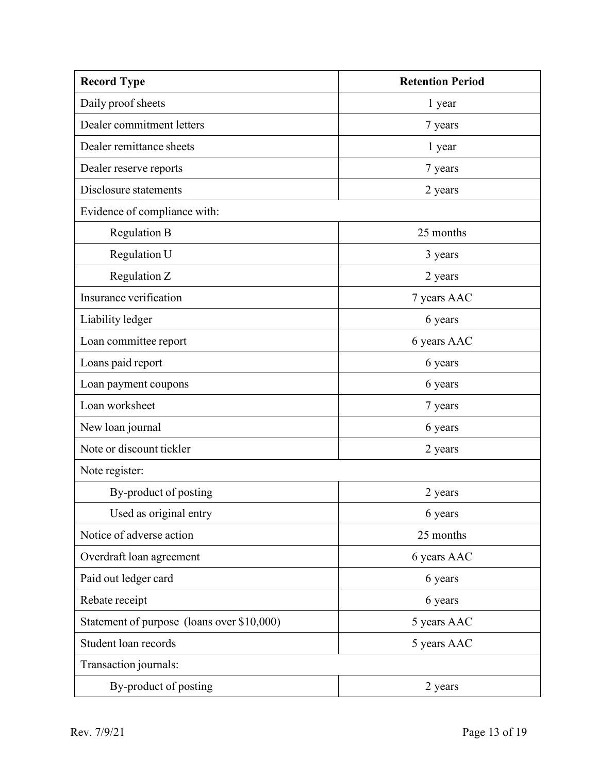| <b>Record Type</b>                         | <b>Retention Period</b> |  |
|--------------------------------------------|-------------------------|--|
| Daily proof sheets                         | 1 year                  |  |
| Dealer commitment letters                  | 7 years                 |  |
| Dealer remittance sheets                   | 1 year                  |  |
| Dealer reserve reports                     | 7 years                 |  |
| Disclosure statements                      | 2 years                 |  |
| Evidence of compliance with:               |                         |  |
| Regulation B                               | 25 months               |  |
| Regulation U                               | 3 years                 |  |
| Regulation Z                               | 2 years                 |  |
| Insurance verification                     | 7 years AAC             |  |
| Liability ledger                           | 6 years                 |  |
| Loan committee report                      | 6 years AAC             |  |
| Loans paid report                          | 6 years                 |  |
| Loan payment coupons                       | 6 years                 |  |
| Loan worksheet                             | 7 years                 |  |
| New loan journal                           | 6 years                 |  |
| Note or discount tickler                   | 2 years                 |  |
| Note register:                             |                         |  |
| By-product of posting                      | 2 years                 |  |
| Used as original entry                     | 6 years                 |  |
| Notice of adverse action                   | 25 months               |  |
| Overdraft loan agreement                   | 6 years AAC             |  |
| Paid out ledger card                       | 6 years                 |  |
| Rebate receipt                             | 6 years                 |  |
| Statement of purpose (loans over \$10,000) | 5 years AAC             |  |
| Student loan records                       | 5 years AAC             |  |
| Transaction journals:                      |                         |  |
| By-product of posting                      | 2 years                 |  |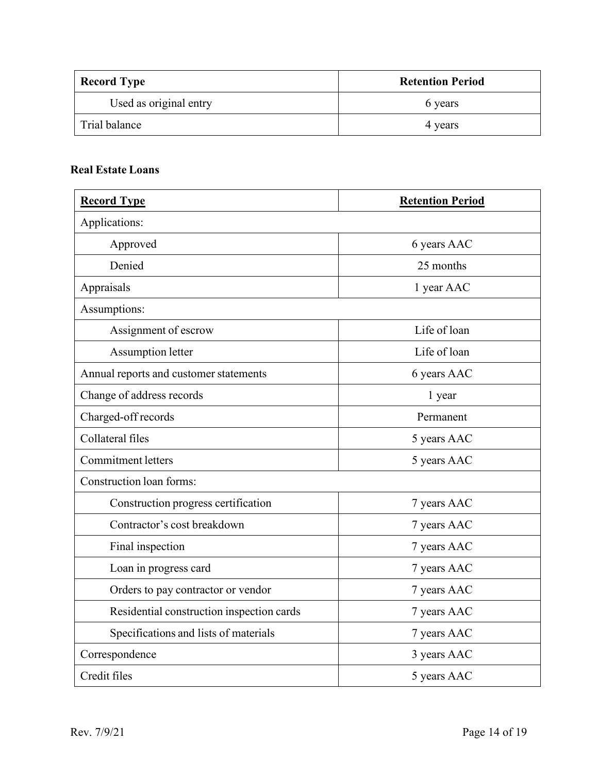| <b>Record Type</b>     | <b>Retention Period</b> |
|------------------------|-------------------------|
| Used as original entry | 6 years                 |
| Trial balance          | 4 years                 |

#### <span id="page-13-0"></span>**Real Estate Loans**

| <b>Record Type</b>                        | <b>Retention Period</b> |
|-------------------------------------------|-------------------------|
| Applications:                             |                         |
| Approved                                  | 6 years AAC             |
| Denied                                    | 25 months               |
| Appraisals                                | 1 year AAC              |
| Assumptions:                              |                         |
| Assignment of escrow                      | Life of loan            |
| <b>Assumption letter</b>                  | Life of loan            |
| Annual reports and customer statements    | 6 years AAC             |
| Change of address records                 | 1 year                  |
| Charged-off records                       | Permanent               |
| Collateral files                          | 5 years AAC             |
| <b>Commitment letters</b>                 | 5 years AAC             |
| Construction loan forms:                  |                         |
| Construction progress certification       | 7 years AAC             |
| Contractor's cost breakdown               | 7 years AAC             |
| Final inspection                          | 7 years AAC             |
| Loan in progress card                     | 7 years AAC             |
| Orders to pay contractor or vendor        | 7 years AAC             |
| Residential construction inspection cards | 7 years AAC             |
| Specifications and lists of materials     | 7 years AAC             |
| Correspondence                            | 3 years AAC             |
| Credit files                              | 5 years AAC             |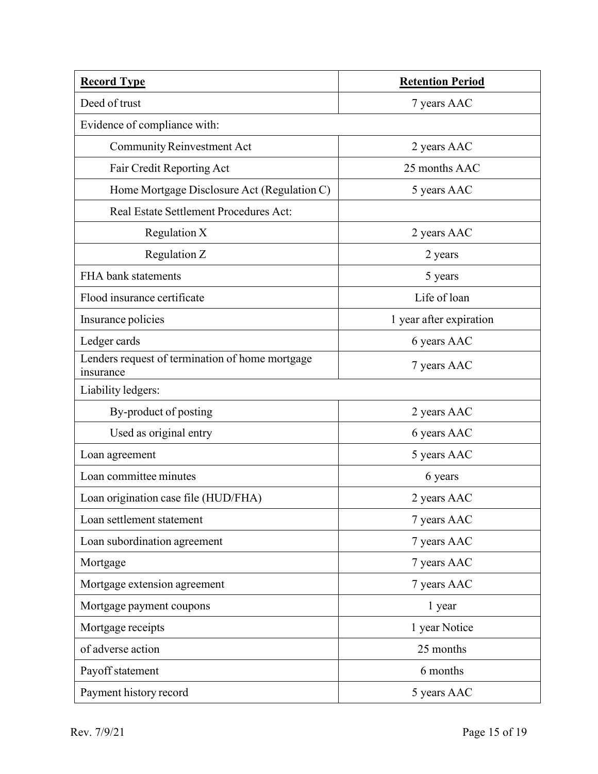| <b>Record Type</b>                                           | <b>Retention Period</b> |
|--------------------------------------------------------------|-------------------------|
| Deed of trust                                                | 7 years AAC             |
| Evidence of compliance with:                                 |                         |
| <b>Community Reinvestment Act</b>                            | 2 years AAC             |
| Fair Credit Reporting Act                                    | 25 months AAC           |
| Home Mortgage Disclosure Act (Regulation C)                  | 5 years AAC             |
| <b>Real Estate Settlement Procedures Act:</b>                |                         |
| Regulation X                                                 | 2 years AAC             |
| Regulation Z                                                 | 2 years                 |
| FHA bank statements                                          | 5 years                 |
| Flood insurance certificate                                  | Life of loan            |
| Insurance policies                                           | 1 year after expiration |
| Ledger cards                                                 | 6 years AAC             |
| Lenders request of termination of home mortgage<br>insurance | 7 years AAC             |
| Liability ledgers:                                           |                         |
| By-product of posting                                        | 2 years AAC             |
| Used as original entry                                       | 6 years AAC             |
| Loan agreement                                               | 5 years AAC             |
| Loan committee minutes                                       | 6 years                 |
| Loan origination case file (HUD/FHA)                         | 2 years AAC             |
| Loan settlement statement                                    | 7 years AAC             |
| Loan subordination agreement                                 | 7 years AAC             |
| Mortgage                                                     | 7 years AAC             |
| Mortgage extension agreement                                 | 7 years AAC             |
| Mortgage payment coupons                                     | 1 year                  |
| Mortgage receipts                                            | 1 year Notice           |
| of adverse action                                            | 25 months               |
| Payoff statement                                             | 6 months                |
| Payment history record                                       | 5 years AAC             |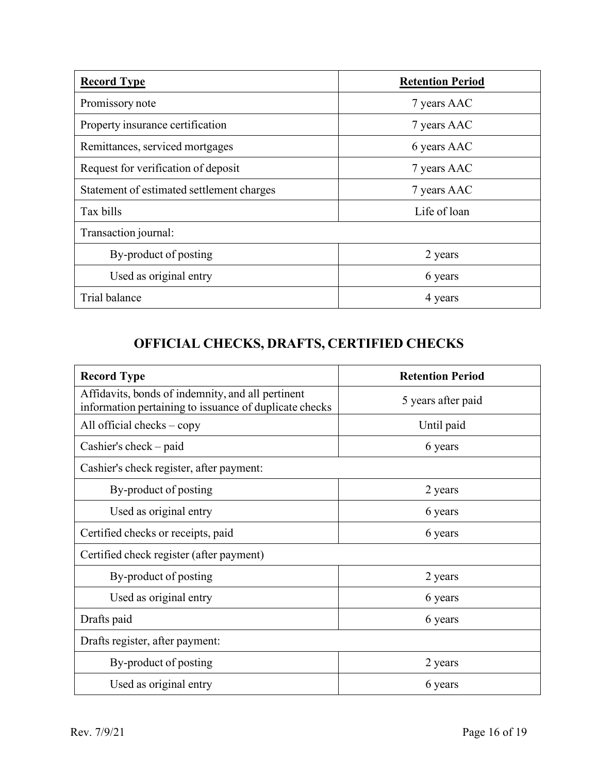| <b>Record Type</b>                        | <b>Retention Period</b> |
|-------------------------------------------|-------------------------|
| Promissory note                           | 7 years AAC             |
| Property insurance certification          | 7 years AAC             |
| Remittances, serviced mortgages           | 6 years AAC             |
| Request for verification of deposit       | 7 years AAC             |
| Statement of estimated settlement charges | 7 years AAC             |
| Tax bills                                 | Life of loan            |
| Transaction journal:                      |                         |
| By-product of posting                     | 2 years                 |
| Used as original entry                    | 6 years                 |
| Trial balance                             | 4 years                 |

# **OFFICIAL CHECKS, DRAFTS, CERTIFIED CHECKS**

<span id="page-15-0"></span>

| <b>Record Type</b>                                                                                          | <b>Retention Period</b> |
|-------------------------------------------------------------------------------------------------------------|-------------------------|
| Affidavits, bonds of indemnity, and all pertinent<br>information pertaining to issuance of duplicate checks | 5 years after paid      |
| All official checks $-\text{copy}$                                                                          | Until paid              |
| Cashier's check $-$ paid                                                                                    | 6 years                 |
| Cashier's check register, after payment:                                                                    |                         |
| By-product of posting                                                                                       | 2 years                 |
| Used as original entry                                                                                      | 6 years                 |
| Certified checks or receipts, paid                                                                          | 6 years                 |
| Certified check register (after payment)                                                                    |                         |
| By-product of posting                                                                                       | 2 years                 |
| Used as original entry                                                                                      | 6 years                 |
| Drafts paid                                                                                                 | 6 years                 |
| Drafts register, after payment:                                                                             |                         |
| By-product of posting                                                                                       | 2 years                 |
| Used as original entry                                                                                      | 6 years                 |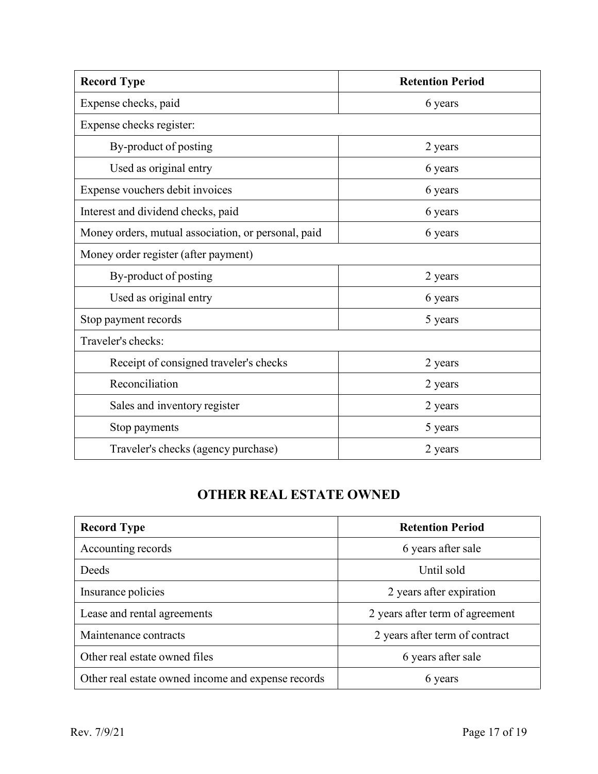| <b>Record Type</b>                                  | <b>Retention Period</b> |
|-----------------------------------------------------|-------------------------|
| Expense checks, paid                                | 6 years                 |
| Expense checks register:                            |                         |
| By-product of posting                               | 2 years                 |
| Used as original entry                              | 6 years                 |
| Expense vouchers debit invoices                     | 6 years                 |
| Interest and dividend checks, paid                  | 6 years                 |
| Money orders, mutual association, or personal, paid | 6 years                 |
| Money order register (after payment)                |                         |
| By-product of posting                               | 2 years                 |
| Used as original entry                              | 6 years                 |
| Stop payment records                                | 5 years                 |
| Traveler's checks:                                  |                         |
| Receipt of consigned traveler's checks              | 2 years                 |
| Reconciliation                                      | 2 years                 |
| Sales and inventory register                        | 2 years                 |
| Stop payments                                       | 5 years                 |
| Traveler's checks (agency purchase)                 | 2 years                 |

## **OTHER REAL ESTATE OWNED**

<span id="page-16-0"></span>

| <b>Record Type</b>                                 | <b>Retention Period</b>         |
|----------------------------------------------------|---------------------------------|
| Accounting records                                 | 6 years after sale              |
| Deeds                                              | Until sold                      |
| Insurance policies                                 | 2 years after expiration        |
| Lease and rental agreements                        | 2 years after term of agreement |
| Maintenance contracts                              | 2 years after term of contract  |
| Other real estate owned files                      | 6 years after sale              |
| Other real estate owned income and expense records | 6 years                         |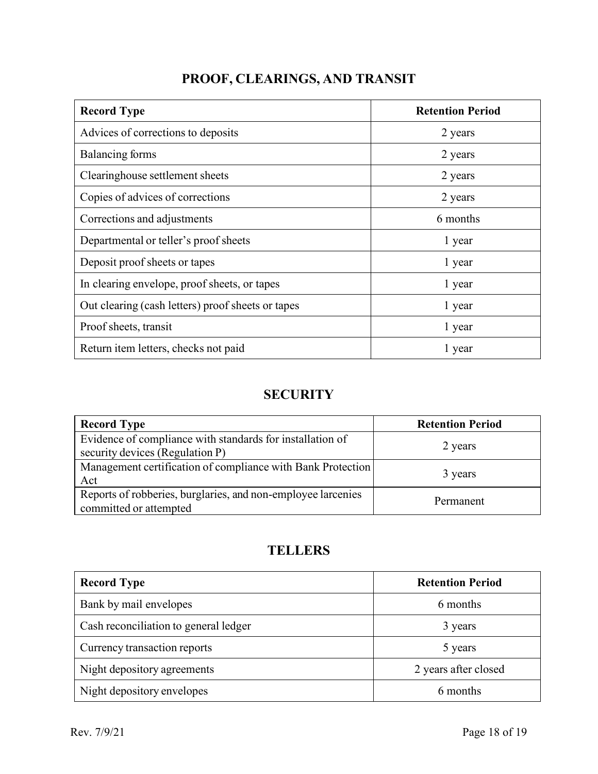<span id="page-17-0"></span>

| <b>Record Type</b>                                | <b>Retention Period</b> |
|---------------------------------------------------|-------------------------|
| Advices of corrections to deposits                | 2 years                 |
| Balancing forms                                   | 2 years                 |
| Clearinghouse settlement sheets                   | 2 years                 |
| Copies of advices of corrections                  | 2 years                 |
| Corrections and adjustments                       | 6 months                |
| Departmental or teller's proof sheets             | 1 year                  |
| Deposit proof sheets or tapes                     | 1 year                  |
| In clearing envelope, proof sheets, or tapes      | 1 year                  |
| Out clearing (cash letters) proof sheets or tapes | 1 year                  |
| Proof sheets, transit                             | 1 year                  |
| Return item letters, checks not paid              | 1 year                  |

## **SECURITY**

<span id="page-17-1"></span>

| <b>Record Type</b>                                                                           | <b>Retention Period</b> |
|----------------------------------------------------------------------------------------------|-------------------------|
| Evidence of compliance with standards for installation of<br>security devices (Regulation P) | 2 years                 |
| Management certification of compliance with Bank Protection<br>Act                           | 3 years                 |
| Reports of robberies, burglaries, and non-employee larcenies<br>committed or attempted       | Permanent               |

## **TELLERS**

<span id="page-17-2"></span>

| <b>Record Type</b>                    | <b>Retention Period</b> |
|---------------------------------------|-------------------------|
| Bank by mail envelopes                | 6 months                |
| Cash reconciliation to general ledger | 3 years                 |
| Currency transaction reports          | 5 years                 |
| Night depository agreements           | 2 years after closed    |
| Night depository envelopes            | 6 months                |